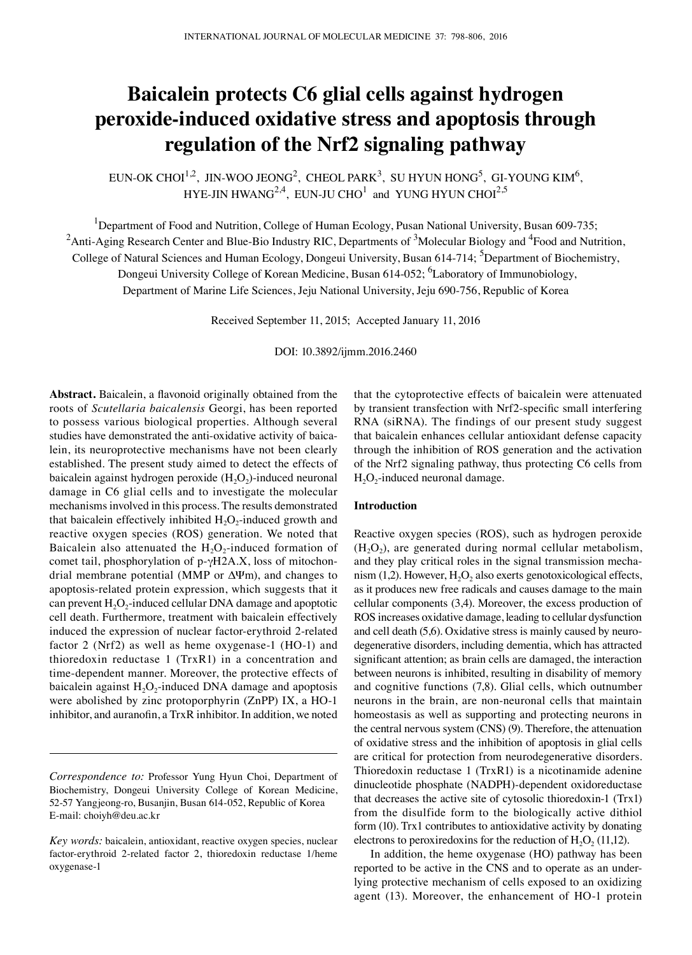# **Baicalein protects C6 glial cells against hydrogen peroxide-induced oxidative stress and apoptosis through regulation of the Nrf2 signaling pathway**

EUN-OK CHOI $^{1,2}$ , JIN-WOO JEONG<sup>2</sup>, CHEOL PARK<sup>3</sup>, SU HYUN HONG<sup>5</sup>, GI-YOUNG KIM<sup>6</sup>, HYE-JIN HWANG<sup>2,4</sup>, EUN-JU CHO<sup>1</sup> and YUNG HYUN CHOI<sup>2,5</sup>

<sup>1</sup>Department of Food and Nutrition, College of Human Ecology, Pusan National University, Busan 609-735;

 $^2$ Anti-Aging Research Center and Blue-Bio Industry RIC, Departments of  $^3$ Molecular Biology and  $^4$ Food and Nutrition,

College of Natural Sciences and Human Ecology, Dongeui University, Busan 614-714; <sup>5</sup>Department of Biochemistry, Dongeui University College of Korean Medicine, Busan 614-052; <sup>6</sup>Laboratory of Immunobiology,

Department of Marine Life Sciences, Jeju National University, Jeju 690-756, Republic of Korea

Received September 11, 2015; Accepted January 11, 2016

DOI: 10.3892/ijmm.2016.2460

**Abstract.** Baicalein, a flavonoid originally obtained from the roots of *Scutellaria baicalensis* Georgi, has been reported to possess various biological properties. Although several studies have demonstrated the anti-oxidative activity of baicalein, its neuroprotective mechanisms have not been clearly established. The present study aimed to detect the effects of baicalein against hydrogen peroxide  $(H_2O_2)$ -induced neuronal damage in C6 glial cells and to investigate the molecular mechanisms involved in this process. The results demonstrated that baicalein effectively inhibited  $H_2O_2$ -induced growth and reactive oxygen species (ROS) generation. We noted that Baicalein also attenuated the  $H_2O_2$ -induced formation of comet tail, phosphorylation of p-γH2A.X, loss of mitochondrial membrane potential (MMP or  $\Delta \Psi$ m), and changes to apoptosis‑related protein expression, which suggests that it can prevent  $H_2O_2$ -induced cellular DNA damage and apoptotic cell death. Furthermore, treatment with baicalein effectively induced the expression of nuclear factor-erythroid 2-related factor 2 (Nrf2) as well as heme oxygenase-1 (HO-1) and thioredoxin reductase 1 (TrxR1) in a concentration and time-dependent manner. Moreover, the protective effects of baicalein against  $H_2O_2$ -induced DNA damage and apoptosis were abolished by zinc protoporphyrin (ZnPP) IX, a HO-1 inhibitor, and auranofin, a TrxR inhibitor. In addition, we noted that the cytoprotective effects of baicalein were attenuated by transient transfection with Nrf2-specific small interfering RNA (siRNA). The findings of our present study suggest that baicalein enhances cellular antioxidant defense capacity through the inhibition of ROS generation and the activation of the Nrf2 signaling pathway, thus protecting C6 cells from  $H<sub>2</sub>O<sub>2</sub>$ -induced neuronal damage.

## **Introduction**

Reactive oxygen species (ROS), such as hydrogen peroxide  $(H<sub>2</sub>O<sub>2</sub>)$ , are generated during normal cellular metabolism, and they play critical roles in the signal transmission mechanism  $(1,2)$ . However,  $H_2O_2$  also exerts genotoxicological effects, as it produces new free radicals and causes damage to the main cellular components (3,4). Moreover, the excess production of ROS increases oxidative damage, leading to cellular dysfunction and cell death (5,6). Oxidative stress is mainly caused by neurodegenerative disorders, including dementia, which has attracted significant attention; as brain cells are damaged, the interaction between neurons is inhibited, resulting in disability of memory and cognitive functions (7,8). Glial cells, which outnumber neurons in the brain, are non-neuronal cells that maintain homeostasis as well as supporting and protecting neurons in the central nervous system (CNS) (9). Therefore, the attenuation of oxidative stress and the inhibition of apoptosis in glial cells are critical for protection from neurodegenerative disorders. Thioredoxin reductase 1 (TrxR1) is a nicotinamide adenine dinucleotide phosphate (NADPH)-dependent oxidoreductase that decreases the active site of cytosolic thioredoxin-1 (Trx1) from the disulfide form to the biologically active dithiol form (10). Trx1 contributes to antioxidative activity by donating electrons to peroxiredoxins for the reduction of  $H_2O_2$  (11,12).

In addition, the heme oxygenase (HO) pathway has been reported to be active in the CNS and to operate as an underlying protective mechanism of cells exposed to an oxidizing agent (13). Moreover, the enhancement of HO-1 protein

*Correspondence to:* Professor Yung Hyun Choi, Department of Biochemistry, Dongeui University College of Korean Medicine, 52-57 Yangjeong-ro, Busanjin, Busan 614-052, Republic of Korea E-mail: choiyh@deu.ac.kr

*Key words:* baicalein, antioxidant, reactive oxygen species, nuclear factor-erythroid 2-related factor 2, thioredoxin reductase 1/heme oxygenase-1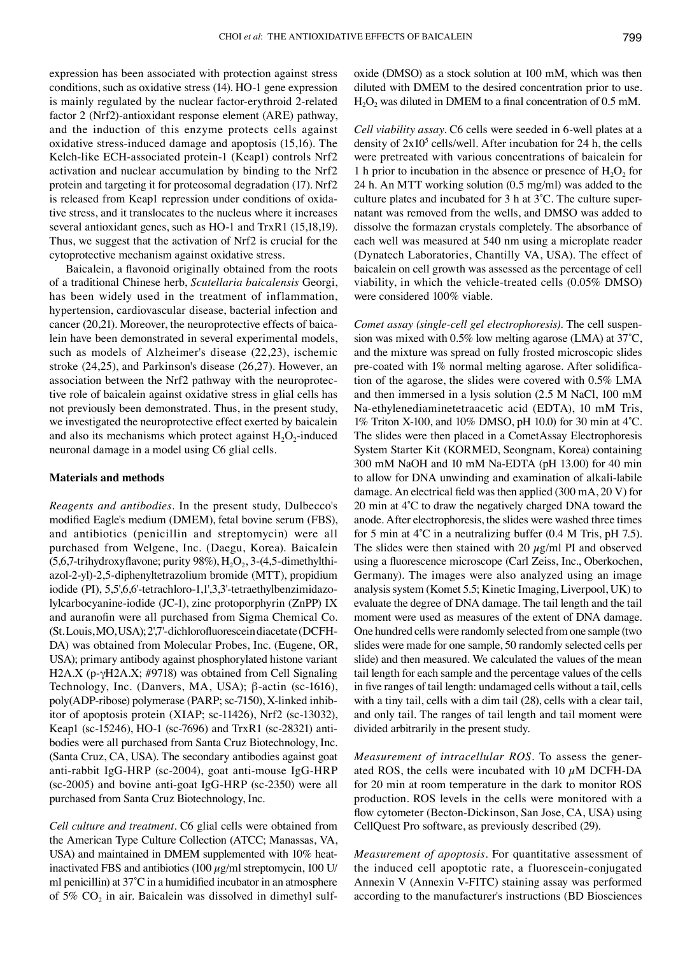expression has been associated with protection against stress conditions, such as oxidative stress (14). HO-1 gene expression is mainly regulated by the nuclear factor-erythroid 2-related factor 2 (Nrf2)-antioxidant response element (ARE) pathway, and the induction of this enzyme protects cells against oxidative stress-induced damage and apoptosis (15,16). The Kelch-like ECH-associated protein-1 (Keap1) controls Nrf2 activation and nuclear accumulation by binding to the Nrf2 protein and targeting it for proteosomal degradation (17). Nrf2 is released from Keap1 repression under conditions of oxidative stress, and it translocates to the nucleus where it increases several antioxidant genes, such as HO-1 and TrxR1 (15,18,19). Thus, we suggest that the activation of Nrf2 is crucial for the cytoprotective mechanism against oxidative stress.

Baicalein, a flavonoid originally obtained from the roots of a traditional Chinese herb, *Scutellaria baicalensis* Georgi, has been widely used in the treatment of inflammation, hypertension, cardiovascular disease, bacterial infection and cancer (20,21). Moreover, the neuroprotective effects of baicalein have been demonstrated in several experimental models, such as models of Alzheimer's disease (22,23), ischemic stroke (24,25), and Parkinson's disease (26,27). However, an association between the Nrf2 pathway with the neuroprotective role of baicalein against oxidative stress in glial cells has not previously been demonstrated. Thus, in the present study, we investigated the neuroprotective effect exerted by baicalein and also its mechanisms which protect against  $H_2O_2$ -induced neuronal damage in a model using C6 glial cells.

### **Materials and methods**

*Reagents and antibodies.* In the present study, Dulbecco's modified Eagle's medium (DMEM), fetal bovine serum (FBS), and antibiotics (penicillin and streptomycin) were all purchased from Welgene, Inc. (Daegu, Korea). Baicalein  $(5,6,7$ -trihydroxyflavone; purity 98%),  $H_2O_2$ , 3-(4,5-dimethylthiazol-2-yl)-2,5-diphenyltetrazolium bromide (MTT), propidium iodide (PI), 5,5',6,6'-tetrachloro‑1,1',3,3'‑tetraethylbenzimidazolylcarbocyanine-iodide (JC-1), zinc protoporphyrin (ZnPP) IX and auranofin were all purchased from Sigma Chemical Co. (St.Louis, MO, USA); 2',7'-dichlorofluorescein diacetate(DCFH-DA) was obtained from Molecular Probes, Inc. (Eugene, OR, USA); primary antibody against phosphorylated histone variant H2A.X (p-γH2A.X; #9718) was obtained from Cell Signaling Technology, Inc. (Danvers, MA, USA); β-actin (sc‑1616), poly(ADP-ribose) polymerase (PARP; sc‑7150), X-linked inhibitor of apoptosis protein (XIAP; sc‑11426), Nrf2 (sc‑13032), Keap1 (sc-15246), HO-1 (sc-7696) and TrxR1 (sc-28321) antibodies were all purchased from Santa Cruz Biotechnology, Inc. (Santa Cruz, CA, USA). The secondary antibodies against goat anti-rabbit IgG-HRP (sc-2004), goat anti-mouse IgG-HRP (sc‑2005) and bovine anti‑goat IgG‑HRP (sc‑2350) were all purchased from Santa Cruz Biotechnology, Inc.

*Cell culture and treatment.* C6 glial cells were obtained from the American Type Culture Collection (ATCC; Manassas, VA, USA) and maintained in DMEM supplemented with 10% heatinactivated FBS and antibiotics (100  $\mu$ g/ml streptomycin, 100 U/ ml penicillin) at 37˚C in a humidified incubator in an atmosphere of 5%  $CO<sub>2</sub>$  in air. Baicalein was dissolved in dimethyl sulfoxide (DMSO) as a stock solution at 100 mM, which was then diluted with DMEM to the desired concentration prior to use.  $H<sub>2</sub>O<sub>2</sub>$  was diluted in DMEM to a final concentration of 0.5 mM.

*Cell viability assay.* C6 cells were seeded in 6-well plates at a density of  $2x10^5$  cells/well. After incubation for 24 h, the cells were pretreated with various concentrations of baicalein for 1 h prior to incubation in the absence or presence of  $H_2O_2$  for 24 h. An MTT working solution (0.5 mg/ml) was added to the culture plates and incubated for 3 h at 3˚C. The culture supernatant was removed from the wells, and DMSO was added to dissolve the formazan crystals completely. The absorbance of each well was measured at 540 nm using a microplate reader (Dynatech Laboratories, Chantilly VA, USA). The effect of baicalein on cell growth was assessed as the percentage of cell viability, in which the vehicle-treated cells (0.05% DMSO) were considered 100% viable.

*Comet assay (single-cell gel electrophoresis).* The cell suspension was mixed with 0.5% low melting agarose (LMA) at 37˚C, and the mixture was spread on fully frosted microscopic slides pre-coated with 1% normal melting agarose. After solidification of the agarose, the slides were covered with 0.5% LMA and then immersed in a lysis solution (2.5 M NaCl, 100 mM Na-ethylenediaminetetraacetic acid (EDTA), 10 mM Tris, 1% Triton X-100, and 10% DMSO, pH 10.0) for 30 min at 4˚C. The slides were then placed in a CometAssay Electrophoresis System Starter Kit (KORMED, Seongnam, Korea) containing 300 mM NaOH and 10 mM Na-EDTA (pH 13.00) for 40 min to allow for DNA unwinding and examination of alkali-labile damage. An electrical field was then applied (300 mA, 20 V) for 20 min at 4˚C to draw the negatively charged DNA toward the anode. After electrophoresis, the slides were washed three times for 5 min at 4˚C in a neutralizing buffer (0.4 M Tris, pH 7.5). The slides were then stained with 20  $\mu$ g/ml PI and observed using a fluorescence microscope (Carl Zeiss, Inc., Oberkochen, Germany). The images were also analyzed using an image analysis system (Komet 5.5; Kinetic Imaging, Liverpool, UK) to evaluate the degree of DNA damage. The tail length and the tail moment were used as measures of the extent of DNA damage. One hundred cells were randomly selected from one sample (two slides were made for one sample, 50 randomly selected cells per slide) and then measured. We calculated the values of the mean tail length for each sample and the percentage values of the cells in five ranges of tail length: undamaged cells without a tail, cells with a tiny tail, cells with a dim tail (28), cells with a clear tail, and only tail. The ranges of tail length and tail moment were divided arbitrarily in the present study.

*Measurement of intracellular ROS.* To assess the generated ROS, the cells were incubated with 10  $\mu$ M DCFH-DA for 20 min at room temperature in the dark to monitor ROS production. ROS levels in the cells were monitored with a flow cytometer (Becton-Dickinson, San Jose, CA, USA) using CellQuest Pro software, as previously described (29).

*Measurement of apoptosis.* For quantitative assessment of the induced cell apoptotic rate, a fluorescein-conjugated Annexin V (Annexin V-FITC) staining assay was performed according to the manufacturer's instructions (BD Biosciences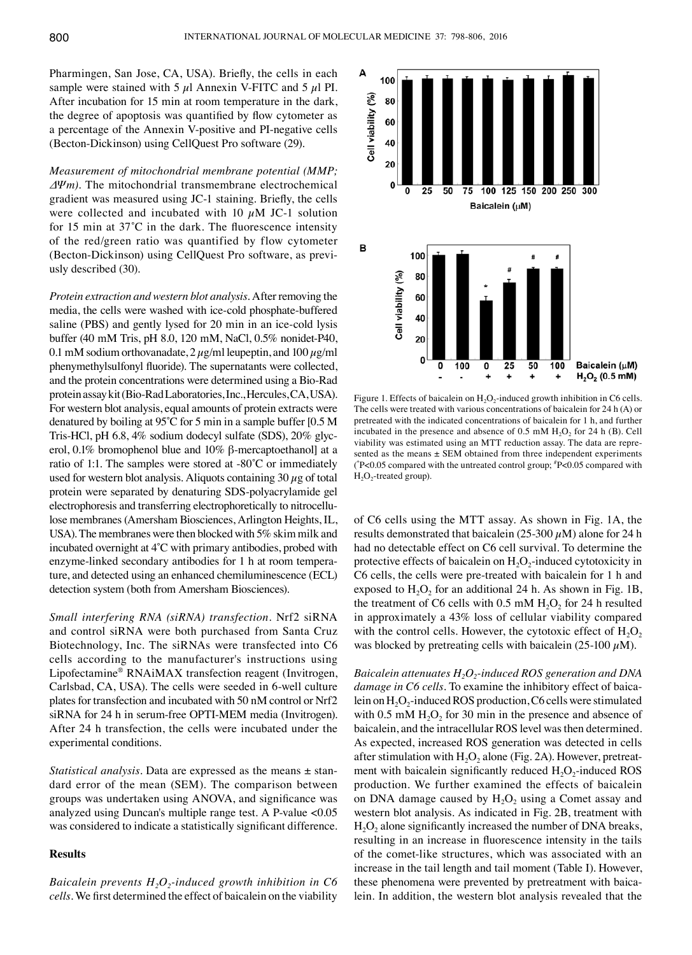Pharmingen, San Jose, CA, USA). Briefly, the cells in each sample were stained with 5  $\mu$ l Annexin V-FITC and 5  $\mu$ l PI. After incubation for 15 min at room temperature in the dark, the degree of apoptosis was quantified by flow cytometer as a percentage of the Annexin V-positive and PI-negative cells (Becton-Dickinson) using CellQuest Pro software (29).

*Measurement of mitochondrial membrane potential (MMP; ΔΨm).* The mitochondrial transmembrane electrochemical gradient was measured using JC-1 staining. Briefly, the cells were collected and incubated with 10  $\mu$ M JC-1 solution for 15 min at 37˚C in the dark. The fluorescence intensity of the red/green ratio was quantified by flow cytometer (Becton‑Dickinson) using CellQuest Pro software, as previusly described (30).

*Protein extraction and western blot analysis.* After removing the media, the cells were washed with ice-cold phosphate-buffered saline (PBS) and gently lysed for 20 min in an ice-cold lysis buffer (40 mM Tris, pH 8.0, 120 mM, NaCl, 0.5% nonidet‑P40, 0.1 mM sodium orthovanadate,  $2 \mu g/ml$  leupeptin, and 100  $\mu g/ml$ phenymethylsulfonyl fluoride). The supernatants were collected, and the protein concentrations were determined using a Bio-Rad protein assay kit (Bio-Rad Laboratories,Inc., Hercules, CA, USA). For western blot analysis, equal amounts of protein extracts were denatured by boiling at 95˚C for 5 min in a sample buffer [0.5 M Tris-HCl, pH 6.8, 4% sodium dodecyl sulfate (SDS), 20% glycerol, 0.1% bromophenol blue and 10% β-mercaptoethanol] at a ratio of 1:1. The samples were stored at -80˚C or immediately used for western blot analysis. Aliquots containing  $30 \mu$ g of total protein were separated by denaturing SDS-polyacrylamide gel electrophoresis and transferring electrophoretically to nitrocellulose membranes (Amersham Biosciences, Arlington Heights, IL, USA). The membranes were then blocked with 5% skim milk and incubated overnight at 4˚C with primary antibodies, probed with enzyme-linked secondary antibodies for 1 h at room temperature, and detected using an enhanced chemiluminescence (ECL) detection system (both from Amersham Biosciences).

*Small interfering RNA (siRNA) transfection.* Nrf2 siRNA and control siRNA were both purchased from Santa Cruz Biotechnology, Inc. The siRNAs were transfected into C6 cells according to the manufacturer's instructions using Lipofectamine® RNAiMAX transfection reagent (Invitrogen, Carlsbad, CA, USA). The cells were seeded in 6-well culture plates for transfection and incubated with 50 nM control or Nrf2 siRNA for 24 h in serum-free OPTI-MEM media (Invitrogen). After 24 h transfection, the cells were incubated under the experimental conditions.

*Statistical analysis.* Data are expressed as the means ± standard error of the mean (SEM). The comparison between groups was undertaken using ANOVA, and significance was analyzed using Duncan's multiple range test. A P-value <0.05 was considered to indicate a statistically significant difference.

#### **Results**

*Baicalein prevents*  $H_2O_2$ -induced growth inhibition in C6 *cells.* We first determined the effect of baicalein on the viability



Figure 1. Effects of baicalein on  $H_2O_2$ -induced growth inhibition in C6 cells. The cells were treated with various concentrations of baicalein for 24 h (A) or pretreated with the indicated concentrations of baicalein for 1 h, and further incubated in the presence and absence of 0.5 mM  $H_2O_2$  for 24 h (B). Cell viability was estimated using an MTT reduction assay. The data are represented as the means  $\pm$  SEM obtained from three independent experiments ( \* P<0.05 compared with the untreated control group; # P<0.05 compared with  $H<sub>2</sub>O<sub>2</sub>$ -treated group).

of C6 cells using the MTT assay. As shown in Fig. 1A, the results demonstrated that baicalein (25-300  $\mu$ M) alone for 24 h had no detectable effect on C6 cell survival. To determine the protective effects of baicalein on  $H_2O_2$ -induced cytotoxicity in C6 cells, the cells were pre-treated with baicalein for 1 h and exposed to  $H_2O_2$  for an additional 24 h. As shown in Fig. 1B, the treatment of C6 cells with  $0.5 \text{ mM H}_2\text{O}_2$  for 24 h resulted in approximately a 43% loss of cellular viability compared with the control cells. However, the cytotoxic effect of  $H_2O_2$ was blocked by pretreating cells with baicalein (25-100  $\mu$ M).

*Baicalein attenuates H<sub>2</sub>O<sub>2</sub>-induced ROS generation and DNA damage in C6 cells.* To examine the inhibitory effect of baicalein on  $H_2O_2$ -induced ROS production, C6 cells were stimulated with 0.5 mM  $H_2O_2$  for 30 min in the presence and absence of baicalein, and the intracellular ROS level was then determined. As expected, increased ROS generation was detected in cells after stimulation with  $H_2O_2$  alone (Fig. 2A). However, pretreatment with baicalein significantly reduced  $H_2O_2$ -induced ROS production. We further examined the effects of baicalein on DNA damage caused by  $H_2O_2$  using a Comet assay and western blot analysis. As indicated in Fig. 2B, treatment with  $H_2O_2$  alone significantly increased the number of DNA breaks, resulting in an increase in fluorescence intensity in the tails of the comet-like structures, which was associated with an increase in the tail length and tail moment (Table I). However, these phenomena were prevented by pretreatment with baicalein. In addition, the western blot analysis revealed that the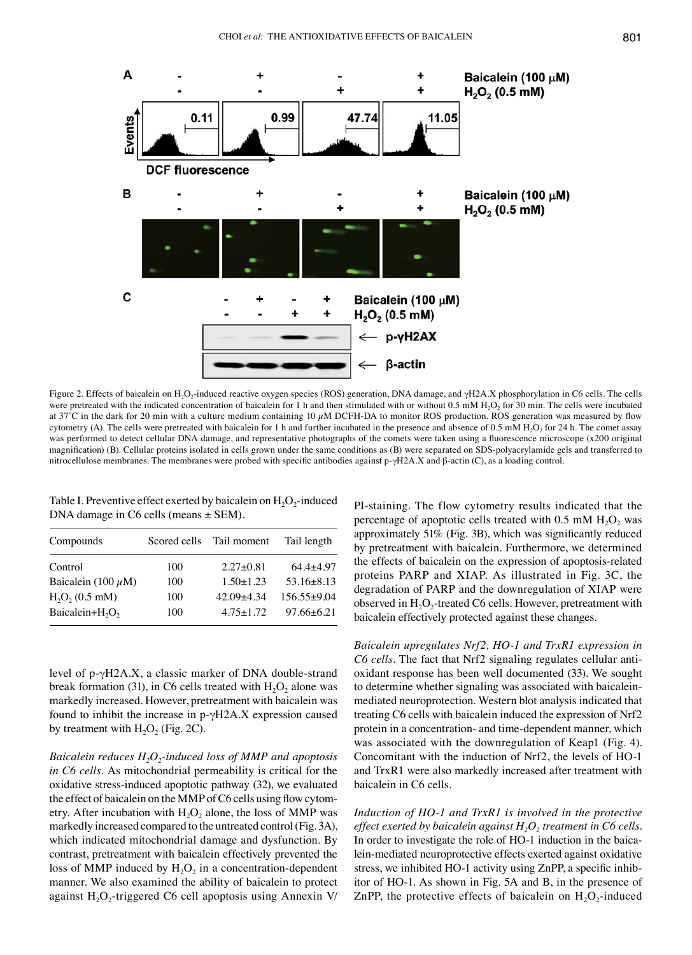

Figure 2. Effects of baicalein on H<sub>2</sub>O<sub>2</sub>-induced reactive oxygen species (ROS) generation, DNA damage, and γH2A.X phosphorylation in C6 cells. The cells were pretreated with the indicated concentration of baicalein for 1 h and then stimulated with or without 0.5 mM H<sub>2</sub>O<sub>2</sub> for 30 min. The cells were incubated at 37°C in the dark for 20 min with a culture medium containing 10  $\mu$ M DCFH-DA to monitor ROS production. ROS generation was measured by flow cytometry (A). The cells were pretreated with baicalein for 1 h and further incubated in the presence and absence of 0.5 mM  $H_2O_2$  for 24 h. The comet assay was performed to detect cellular DNA damage, and representative photographs of the comets were taken using a fluorescence microscope (x200 original magnification) (B). Cellular proteins isolated in cells grown under the same conditions as (B) were separated on SDS-polyacrylamide gels and transferred to nitrocellulose membranes. The membranes were probed with specific antibodies against p-γH2A.X and β-actin (C), as a loading control.

Table I. Preventive effect exerted by baicalein on  $H_2O_2$ -induced DNA damage in C6 cells (means  $\pm$  SEM).

| Compounds                               | Scored cells | Tail moment     | Tail length      |
|-----------------------------------------|--------------|-----------------|------------------|
| Control                                 | 100          | $2.27 \pm 0.81$ | $64.4+4.97$      |
| Baicalein (100 $\mu$ M)                 | 100          | $1.50 \pm 1.23$ | $53.16 \pm 8.13$ |
| $H2O2$ (0.5 mM)                         | 100          | $42.09 + 4.34$  | $156.55+9.04$    |
| Baicalein+H <sub>2</sub> O <sub>2</sub> | 100          | $4.75 \pm 1.72$ | $97.66 \pm 6.21$ |
|                                         |              |                 |                  |

level of p-γH2A.X, a classic marker of DNA double-strand break formation (31), in C6 cells treated with  $H_2O_2$  alone was markedly increased. However, pretreatment with baicalein was found to inhibit the increase in  $p-\gamma H2A.X$  expression caused by treatment with  $H_2O_2$  (Fig. 2C).

*Baicalein reduces H<sub>2</sub>O<sub>2</sub>-induced loss of MMP and apoptosis in C6 cells.* As mitochondrial permeability is critical for the oxidative stress-induced apoptotic pathway (32), we evaluated the effect of baicalein on the MMP of C6 cells using flow cytometry. After incubation with  $H_2O_2$  alone, the loss of MMP was markedly increased compared to the untreated control(Fig. 3A), which indicated mitochondrial damage and dysfunction. By contrast, pretreatment with baicalein effectively prevented the loss of MMP induced by  $H_2O_2$  in a concentration-dependent manner. We also examined the ability of baicalein to protect against  $H_2O_2$ -triggered C6 cell apoptosis using Annexin V/ PI-staining. The flow cytometry results indicated that the percentage of apoptotic cells treated with  $0.5 \text{ mM H}_2\text{O}_2$  was approximately 51% (Fig. 3B), which was significantly reduced by pretreatment with baicalein. Furthermore, we determined the effects of baicalein on the expression of apoptosis-related proteins PARP and XIAP. As illustrated in Fig. 3C, the degradation of PARP and the downregulation of XIAP were observed in  $H_2O_2$ -treated C6 cells. However, pretreatment with baicalein effectively protected against these changes.

*Baicalein upregulates Nrf2, HO-1 and TrxR1 expression in C6 cells.* The fact that Nrf2 signaling regulates cellular antioxidant response has been well documented (33). We sought to determine whether signaling was associated with baicaleinmediated neuroprotection. Western blot analysis indicated that treating C6 cells with baicalein induced the expression of Nrf2 protein in a concentration- and time-dependent manner, which was associated with the downregulation of Keap1 (Fig. 4). Concomitant with the induction of Nrf2, the levels of HO-1 and TrxR1 were also markedly increased after treatment with baicalein in C6 cells.

*Induction of HO-1 and TrxR1 is involved in the protective effect exerted by baicalein against*  $H_2O_2$  *treatment in C6 cells.* In order to investigate the role of HO-1 induction in the baicalein‑mediated neuroprotective effects exerted against oxidative stress, we inhibited HO-1 activity using ZnPP, a specific inhibitor of HO-1. As shown in Fig. 5A and B, in the presence of ZnPP, the protective effects of baicalein on  $H_2O_2$ -induced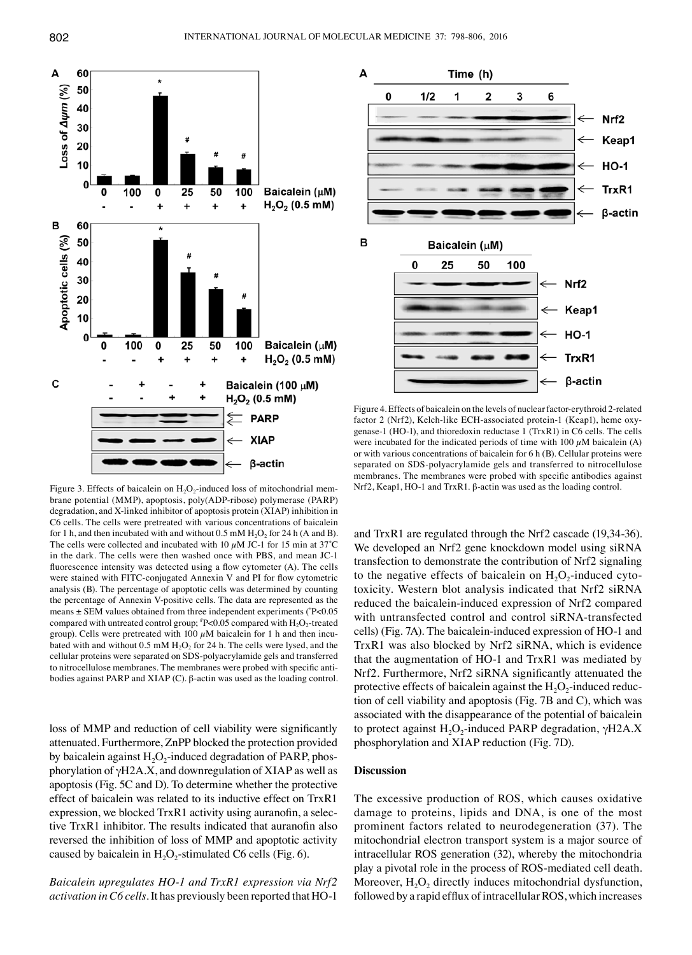

Figure 3. Effects of baicalein on  $H_2O_2$ -induced loss of mitochondrial membrane potential (MMP), apoptosis, poly(ADP-ribose) polymerase (PARP) degradation, and X-linked inhibitor of apoptosis protein (XIAP) inhibition in C6 cells. The cells were pretreated with various concentrations of baicalein for 1 h, and then incubated with and without  $0.5 \text{ mM H}_2\text{O}_2$  for 24 h (A and B). The cells were collected and incubated with 10  $\mu$ M JC-1 for 15 min at 37°C in the dark. The cells were then washed once with PBS, and mean JC-1 fluorescence intensity was detected using a flow cytometer (A). The cells were stained with FITC-conjugated Annexin V and PI for flow cytometric analysis (B). The percentage of apoptotic cells was determined by counting the percentage of Annexin V-positive cells. The data are represented as the means ± SEM values obtained from three independent experiments (\* P<0.05 compared with untreated control group;  $^{\#}P<0.05$  compared with  $\rm H_2O_2$ -treated group). Cells were pretreated with 100  $\mu$ M baicalein for 1 h and then incubated with and without  $0.5 \text{ mM } H_2O_2$  for 24 h. The cells were lysed, and the cellular proteins were separated on SDS-polyacrylamide gels and transferred to nitrocellulose membranes. The membranes were probed with specific antibodies against PARP and XIAP (C). β-actin was used as the loading control.

loss of MMP and reduction of cell viability were significantly attenuated. Furthermore, ZnPP blocked the protection provided by baicalein against  $H_2O_2$ -induced degradation of PARP, phosphorylation of γH2A.X, and downregulation of XIAP as well as apoptosis (Fig. 5C and D). To determine whether the protective effect of baicalein was related to its inductive effect on TrxR1 expression, we blocked TrxR1 activity using auranofin, a selective TrxR1 inhibitor. The results indicated that auranofin also reversed the inhibition of loss of MMP and apoptotic activity caused by baicalein in  $H_2O_2$ -stimulated C6 cells (Fig. 6).

*Baicalein upregulates HO-1 and TrxR1 expression via Nrf2 activation in C6 cells.* It has previously been reported that HO-1



Figure 4. Effects of baicalein on the levels of nuclear factor-erythroid 2-related factor 2 (Nrf2), Kelch-like ECH-associated protein-1 (Keap1), heme oxygenase-1 (HO-1), and thioredoxin reductase 1 (TrxR1) in C6 cells. The cells were incubated for the indicated periods of time with 100  $\mu$ M baicalein (A) or with various concentrations of baicalein for 6 h (B). Cellular proteins were separated on SDS-polyacrylamide gels and transferred to nitrocellulose membranes. The membranes were probed with specific antibodies against Nrf2, Keap1, HO-1 and TrxR1. β-actin was used as the loading control.

and TrxR1 are regulated through the Nrf2 cascade (19,34‑36). We developed an Nrf2 gene knockdown model using siRNA transfection to demonstrate the contribution of Nrf2 signaling to the negative effects of baicalein on  $H_2O_2$ -induced cytotoxicity. Western blot analysis indicated that Nrf2 siRNA reduced the baicalein-induced expression of Nrf2 compared with untransfected control and control siRNA-transfected cells) (Fig. 7A). The baicalein-induced expression of HO-1 and TrxR1 was also blocked by Nrf2 siRNA, which is evidence that the augmentation of HO-1 and TrxR1 was mediated by Nrf2. Furthermore, Nrf2 siRNA significantly attenuated the protective effects of baicalein against the  $H_2O_2$ -induced reduction of cell viability and apoptosis (Fig. 7B and C), which was associated with the disappearance of the potential of baicalein to protect against  $H_2O_2$ -induced PARP degradation, γH2A.X phosphorylation and XIAP reduction (Fig. 7D).

## **Discussion**

The excessive production of ROS, which causes oxidative damage to proteins, lipids and DNA, is one of the most prominent factors related to neurodegeneration (37). The mitochondrial electron transport system is a major source of intracellular ROS generation (32), whereby the mitochondria play a pivotal role in the process of ROS-mediated cell death. Moreover,  $H_2O_2$  directly induces mitochondrial dysfunction, followed by a rapid efflux of intracellular ROS, which increases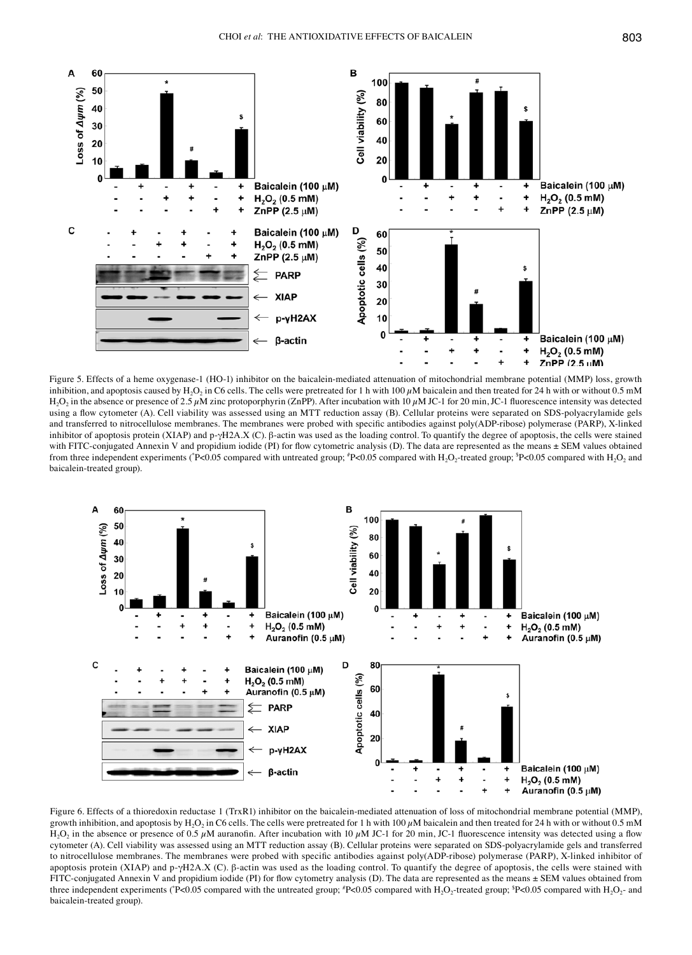

Figure 5. Effects of a heme oxygenase-1 (HO-1) inhibitor on the baicalein-mediated attenuation of mitochondrial membrane potential (MMP) loss, growth inhibition, and apoptosis caused by H<sub>2</sub>O<sub>2</sub> in C6 cells. The cells were pretreated for 1 h with 100  $\mu$ M baicalein and then treated for 24 h with or without 0.5 mM H<sub>2</sub>O<sub>2</sub> in the absence or presence of 2.5  $\mu$ M zinc protoporphyrin (ZnPP). After incubation with 10  $\mu$ M JC-1 for 20 min, JC-1 fluorescence intensity was detected using a flow cytometer (A). Cell viability was assessed using an MTT reduction assay (B). Cellular proteins were separated on SDS-polyacrylamide gels and transferred to nitrocellulose membranes. The membranes were probed with specific antibodies against poly(ADP-ribose) polymerase (PARP), X-linked inhibitor of apoptosis protein (XIAP) and p-γH2A.X (C). β-actin was used as the loading control. To quantify the degree of apoptosis, the cells were stained with FITC-conjugated Annexin V and propidium iodide (PI) for flow cytometric analysis (D). The data are represented as the means  $\pm$  SEM values obtained from three independent experiments (\*P<0.05 compared with untreated group; \*P<0.05 compared with H<sub>2</sub>O<sub>2</sub> and  $H_1O_2$  and baicalein-treated group).



Figure 6. Effects of a thioredoxin reductase 1 (TrxR1) inhibitor on the baicalein-mediated attenuation of loss of mitochondrial membrane potential (MMP), growth inhibition, and apoptosis by H<sub>2</sub>O<sub>2</sub> in C6 cells. The cells were pretreated for 1 h with 100  $\mu$ M baicalein and then treated for 24 h with or without 0.5 mM H<sub>2</sub>O<sub>2</sub> in the absence or presence of 0.5  $\mu$ M auranofin. After incubation with 10  $\mu$ M JC-1 for 20 min, JC-1 fluorescence intensity was detected using a flow cytometer (A). Cell viability was assessed using an MTT reduction assay (B). Cellular proteins were separated on SDS-polyacrylamide gels and transferred to nitrocellulose membranes. The membranes were probed with specific antibodies against poly(ADP-ribose) polymerase (PARP), X-linked inhibitor of apoptosis protein (XIAP) and p-γH2A.X (C). β-actin was used as the loading control. To quantify the degree of apoptosis, the cells were stained with FITC-conjugated Annexin V and propidium iodide (PI) for flow cytometry analysis (D). The data are represented as the means  $\pm$  SEM values obtained from three independent experiments ( $P$ <0.05 compared with the untreated group;  $P$ <0.05 compared with  $H_2O_2$ -treated group;  $P$ <0.05 compared with  $H_2O_2$ - and baicalein-treated group).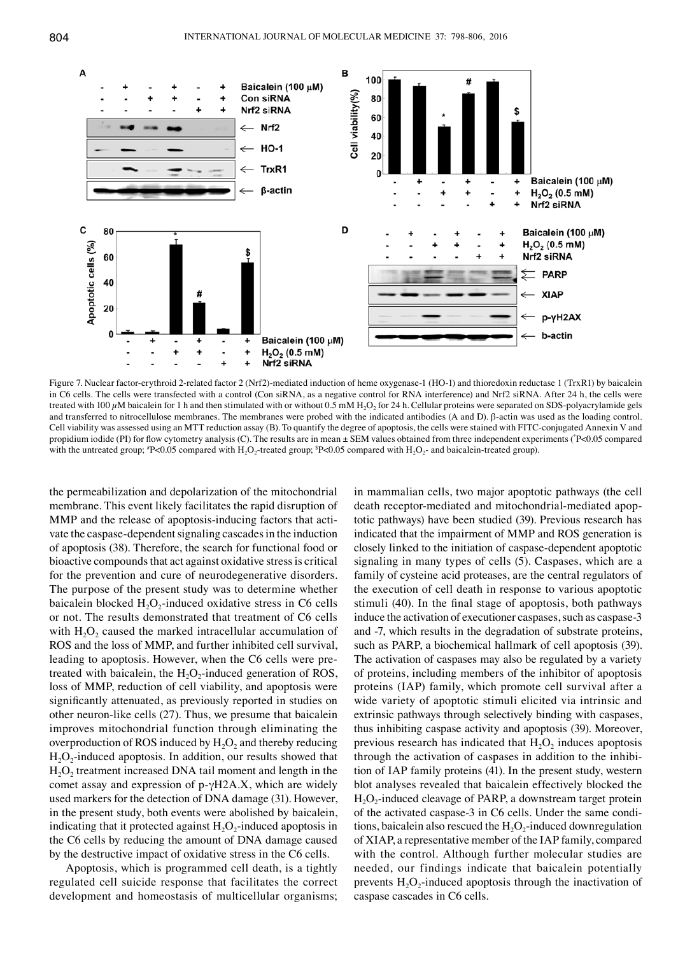

Figure 7. Nuclear factor-erythroid 2-related factor 2 (Nrf2)-mediated induction of heme oxygenase-1 (HO-1) and thioredoxin reductase 1 (TrxR1) by baicalein in C6 cells. The cells were transfected with a control (Con siRNA, as a negative control for RNA interference) and Nrf2 siRNA. After 24 h, the cells were treated with 100  $\mu$ M baicalein for 1 h and then stimulated with or without 0.5 mM H<sub>2</sub>O<sub>2</sub> for 24 h. Cellular proteins were separated on SDS-polyacrylamide gels and transferred to nitrocellulose membranes. The membranes were probed with the indicated antibodies (A and D). β-actin was used as the loading control. Cell viability was assessed using an MTT reduction assay (B). To quantify the degree of apoptosis, the cells were stained with FITC‑conjugated Annexin V and propidium iodide (PI) for flow cytometry analysis (C). The results are in mean ± SEM values obtained from three independent experiments (\*P<0.05 compared with the untreated group;  $P \le 0.05$  compared with  $H_2O_2$ -treated group;  $P \le 0.05$  compared with  $H_2O_2$ - and baicalein-treated group).

the permeabilization and depolarization of the mitochondrial membrane. This event likely facilitates the rapid disruption of MMP and the release of apoptosis-inducing factors that activate the caspase-dependent signaling cascades in the induction of apoptosis (38). Therefore, the search for functional food or bioactive compounds that act against oxidative stress is critical for the prevention and cure of neurodegenerative disorders. The purpose of the present study was to determine whether baicalein blocked  $H_2O_2$ -induced oxidative stress in C6 cells or not. The results demonstrated that treatment of C6 cells with  $H_2O_2$  caused the marked intracellular accumulation of ROS and the loss of MMP, and further inhibited cell survival, leading to apoptosis. However, when the C6 cells were pretreated with baicalein, the  $H_2O_2$ -induced generation of ROS, loss of MMP, reduction of cell viability, and apoptosis were significantly attenuated, as previously reported in studies on other neuron-like cells (27). Thus, we presume that baicalein improves mitochondrial function through eliminating the overproduction of ROS induced by  $H_2O_2$  and thereby reducing  $H_2O_2$ -induced apoptosis. In addition, our results showed that  $H<sub>2</sub>O<sub>2</sub>$  treatment increased DNA tail moment and length in the comet assay and expression of p-γH2A.X, which are widely used markers for the detection of DNA damage (31). However, in the present study, both events were abolished by baicalein, indicating that it protected against  $H_2O_2$ -induced apoptosis in the C6 cells by reducing the amount of DNA damage caused by the destructive impact of oxidative stress in the C6 cells.

Apoptosis, which is programmed cell death, is a tightly regulated cell suicide response that facilitates the correct development and homeostasis of multicellular organisms; in mammalian cells, two major apoptotic pathways (the cell death receptor-mediated and mitochondrial-mediated apoptotic pathways) have been studied (39). Previous research has indicated that the impairment of MMP and ROS generation is closely linked to the initiation of caspase-dependent apoptotic signaling in many types of cells (5). Caspases, which are a family of cysteine acid proteases, are the central regulators of the execution of cell death in response to various apoptotic stimuli (40). In the final stage of apoptosis, both pathways induce the activation of executioner caspases, such as caspase-3 and -7, which results in the degradation of substrate proteins, such as PARP, a biochemical hallmark of cell apoptosis (39). The activation of caspases may also be regulated by a variety of proteins, including members of the inhibitor of apoptosis proteins (IAP) family, which promote cell survival after a wide variety of apoptotic stimuli elicited via intrinsic and extrinsic pathways through selectively binding with caspases, thus inhibiting caspase activity and apoptosis (39). Moreover, previous research has indicated that  $H_2O_2$  induces apoptosis through the activation of caspases in addition to the inhibition of IAP family proteins (41). In the present study, western blot analyses revealed that baicalein effectively blocked the  $H_2O_2$ -induced cleavage of PARP, a downstream target protein of the activated caspase-3 in C6 cells. Under the same conditions, baicalein also rescued the  $H_2O_2$ -induced downregulation of XIAP, a representative member of the IAP family, compared with the control. Although further molecular studies are needed, our findings indicate that baicalein potentially prevents  $H_2O_2$ -induced apoptosis through the inactivation of caspase cascades in C6 cells.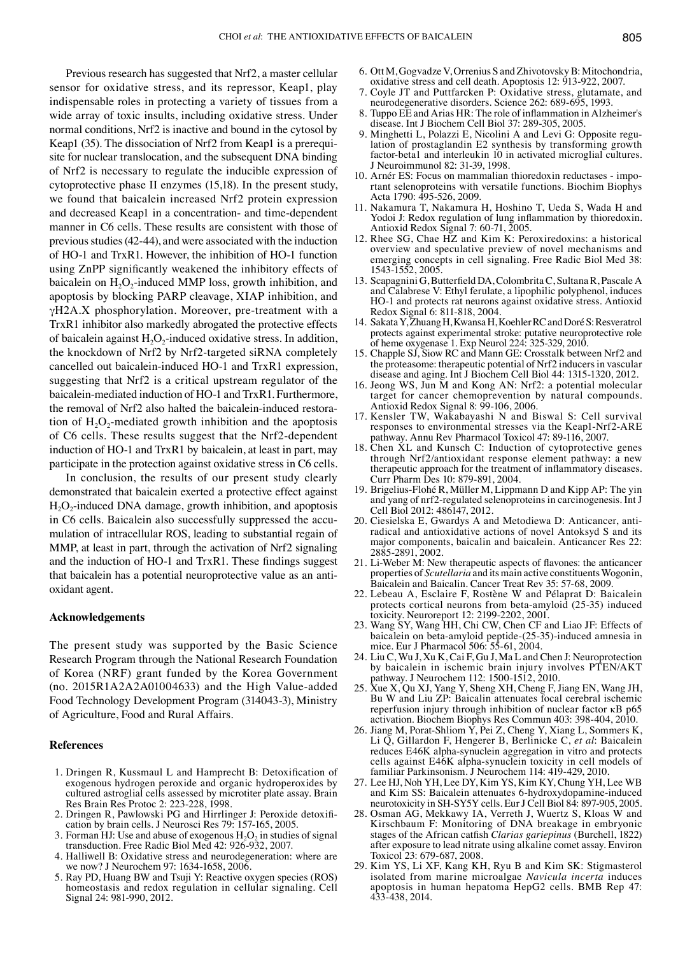Previous research has suggested that Nrf2, a master cellular sensor for oxidative stress, and its repressor, Keap1, play indispensable roles in protecting a variety of tissues from a wide array of toxic insults, including oxidative stress. Under normal conditions, Nrf2 is inactive and bound in the cytosol by Keap1 (35). The dissociation of Nrf2 from Keap1 is a prerequisite for nuclear translocation, and the subsequent DNA binding of Nrf2 is necessary to regulate the inducible expression of cytoprotective phase II enzymes (15,18). In the present study, we found that baicalein increased Nrf2 protein expression and decreased Keap1 in a concentration- and time‑dependent manner in C6 cells. These results are consistent with those of previous studies(42-44), and were associated with the induction of HO-1 and TrxR1. However, the inhibition of HO-1 function using ZnPP significantly weakened the inhibitory effects of baicalein on  $H_2O_2$ -induced MMP loss, growth inhibition, and apoptosis by blocking PARP cleavage, XIAP inhibition, and γH2A.X phosphorylation. Moreover, pre‑treatment with a TrxR1 inhibitor also markedly abrogated the protective effects of baicalein against  $H_2O_2$ -induced oxidative stress. In addition, the knockdown of Nrf2 by Nrf2-targeted siRNA completely cancelled out baicalein‑induced HO-1 and TrxR1 expression, suggesting that Nrf2 is a critical upstream regulator of the baicalein-mediated induction of HO-1 and TrxR1. Furthermore, the removal of Nrf2 also halted the baicalein-induced restoration of  $H_2O_2$ -mediated growth inhibition and the apoptosis of C6 cells. These results suggest that the Nrf2-dependent induction of HO-1 and TrxR1 by baicalein, at least in part, may participate in the protection against oxidative stress in C6 cells.

In conclusion, the results of our present study clearly demonstrated that baicalein exerted a protective effect against  $H_2O_2$ -induced DNA damage, growth inhibition, and apoptosis in C6 cells. Baicalein also successfully suppressed the accumulation of intracellular ROS, leading to substantial regain of MMP, at least in part, through the activation of Nrf2 signaling and the induction of HO-1 and TrxR1. These findings suggest that baicalein has a potential neuroprotective value as an antioxidant agent.

## **Acknowledgements**

The present study was supported by the Basic Science Research Program through the National Research Foundation of Korea (NRF) grant funded by the Korea Government (no. 2015R1A2A2A01004633) and the High Value-added Food Technology Development Program (314043-3), Ministry of Agriculture, Food and Rural Affairs.

#### **References**

- 1. Dringen R, Kussmaul L and Hamprecht B: Detoxification of exogenous hydrogen peroxide and organic hydroperoxides by cultured astroglial cells assessed by microtiter plate assay. Brain Res Brain Res Protoc 2: 223-228, 1998.
- 2. Dringen R, Pawlowski PG and Hirrlinger J: Peroxide detoxification by brain cells. J Neurosci Res 79: 157-165, 2005.
- 3. Forman HJ: Use and abuse of exogenous  $H<sub>2</sub>O<sub>2</sub>$  in studies of signal transduction. Free Radic Biol Med 42: 926-932, 2007.
- 4. Halliwell B: Oxidative stress and neurodegeneration: where are we now? J Neurochem 97: 1634-1658, 2006.
- 5. Ray PD, Huang BW and Tsuji Y: Reactive oxygen species (ROS) homeostasis and redox regulation in cellular signaling. Cell Signal 24: 981-990, 2012.
- 6. Ott M, Gogvadze V, Orrenius S and Zhivotovsky B: Mitochondria, oxidative stress and cell death. Apoptosis 12: 913-922, 2007.
- 7. Coyle JT and Puttfarcken P: Oxidative stress, glutamate, and neurodegenerative disorders. Science 262: 689-695, 1993.
- 8. Tuppo EE and Arias HR: The role of inflammation in Alzheimer's disease. Int J Biochem Cell Biol 37: 289-305, 2005.
- 9. Minghetti L, Polazzi E, Nicolini A and Levi G: Opposite regulation of prostaglandin E2 synthesis by transforming growth factor-beta1 and interleukin 10 in activated microglial cultures. J Neuroimmunol 82: 31-39, 1998.
- 10. Arnér ES: Focus on mammalian thioredoxin reductases important selenoproteins with versatile functions. Biochim Biophys Acta 1790: 495-526, 2009.
- 11. Nakamura T, Nakamura H, Hoshino T, Ueda S, Wada H and Yodoi J: Redox regulation of lung inflammation by thioredoxin. Antioxid Redox Signal 7: 60-71, 2005.
- 12. Rhee SG, Chae HZ and Kim K: Peroxiredoxins: a historical overview and speculative preview of novel mechanisms and emerging concepts in cell signaling. Free Radic Biol Med 38: 1543-1552, 2005.
- 13. Scapagnini G, Butterfield DA, Colombrita C, Sultana R, Pascale A and Calabrese V: Ethyl ferulate, a lipophilic polyphenol, induces HO-1 and protects rat neurons against oxidative stress. Antioxid Redox Signal 6: 811-818, 2004.
- 14. Sakata Y, Zhuang H, Kwansa H, Koehler RC and DoréS: Resveratrol protects against experimental stroke: putative neuroprotective role of heme oxygenase 1. Exp Neurol 224: 325-329, 2010.
- 15. Chapple SJ, Siow RC and Mann GE: Crosstalk between Nrf2 and the proteasome: therapeutic potential of Nrf2 inducers in vascular disease and aging. Int J Biochem Cell Biol 44: 1315‑1320, 2012.
- 16. Jeong WS, Jun M and Kong AN: Nrf2: a potential molecular target for cancer chemoprevention by natural compounds. Antioxid Redox Signal 8: 99-106, 2006.
- 17. Kensler TW, Wakabayashi N and Biswal S: Cell survival responses to environmental stresses via the Keap1-Nrf2-ARE pathway. Annu Rev Pharmacol Toxicol 47: 89-116, 2007.
- 18. Chen XL and Kunsch C: Induction of cytoprotective genes through Nrf2/antioxidant response element pathway: a new therapeutic approach for the treatment of inflammatory diseases. Curr Pharm Des 10: 879-891, 2004.
- 19. Brigelius-Flohé R, Müller M, Lippmann D and Kipp AP: The yin and yang of nrf2-regulated selenoproteins in carcinogenesis. Int J Cell Biol 2012: 486147, 2012.
- 20. Ciesielska E, Gwardys A and Metodiewa D: Anticancer, antiradical and antioxidative actions of novel Antoksyd S and its major components, baicalin and baicalein. Anticancer Res 22: 2885-2891, 2002.
- 21. Li-Weber M: New therapeutic aspects of flavones: the anticancer properties of *Scutellaria* and its main active constituents Wogonin, Baicalein and Baicalin. Cancer Treat Rev 35: 57-68, 2009.
- 22. Lebeau A, Esclaire F, Rostène W and Pélaprat D: Baicalein protects cortical neurons from beta-amyloid (25-35) induced toxicity. Neuroreport 12: 2199-2202, 2001.
- 23. Wang SY, Wang HH, Chi CW, Chen CF and Liao JF: Effects of baicalein on beta-amyloid peptide-(25-35)-induced amnesia in mice. Eur J Pharmacol 506: 55-61, 2004.
- 24. Liu C, Wu J, Xu K, Cai F, Gu J, Ma L and Chen J: Neuroprotection by baicalein in ischemic brain injury involves PTEN/AKT pathway. J Neurochem 112: 1500-1512, 2010.
- 25. Xue X, Qu XJ, Yang Y, Sheng XH, Cheng F, Jiang EN, Wang JH, Bu W and Liu ZP: Baicalin attenuates focal cerebral ischemic reperfusion injury through inhibition of nuclear factor κB p65 activation. Biochem Biophys Res Commun 403: 398-404, 2010.
- 26. Jiang M, Porat-Shliom Y, Pei Z, Cheng Y, Xiang L, Sommers K, Li Q, Gillardon F, Hengerer B, Berlinicke C, *et al*: Baicalein reduces E46K alpha-synuclein aggregation in vitro and protects cells against E46K alpha-synuclein toxicity in cell models of familiar Parkinsonism. J Neurochem 114: 419-429, 2010.
- 27. Lee HJ, Noh YH, Lee DY, Kim YS, Kim KY, Chung YH, Lee WB and Kim SS: Baicalein attenuates 6-hydroxydopamine‑induced neurotoxicity in SH-SY5Y cells. Eur J Cell Biol 84: 897-905, 2005.
- 28. Osman AG, Mekkawy IA, Verreth J, Wuertz S, Kloas W and Kirschbaum F: Monitoring of DNA breakage in embryonic stages of the African catfish *Clarias gariepinus* (Burchell, 1822) after exposure to lead nitrate using alkaline comet assay. Environ Toxicol 23: 679-687, 2008.
- 29. Kim YS, Li XF, Kang KH, Ryu B and Kim SK: Stigmasterol isolated from marine microalgae *Navicula incerta* induces apoptosis in human hepatoma HepG2 cells. BMB Rep 47: 433-438, 2014.